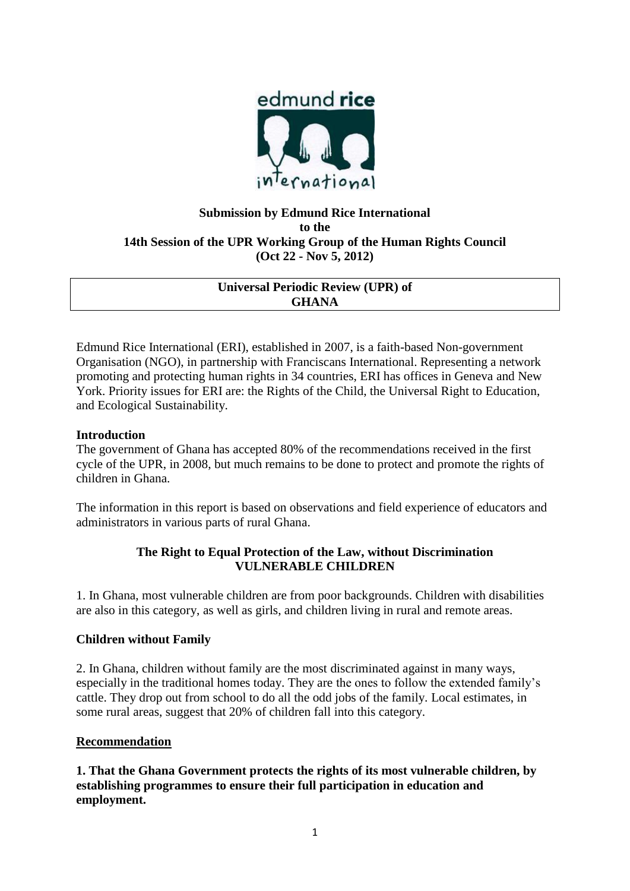

# **Submission by Edmund Rice International to the 14th Session of the UPR Working Group of the Human Rights Council (Oct 22 - Nov 5, 2012)**

## **Universal Periodic Review (UPR) of GHANA**

Edmund Rice International (ERI), established in 2007, is a faith-based Non-government Organisation (NGO), in partnership with Franciscans International. Representing a network promoting and protecting human rights in 34 countries, ERI has offices in Geneva and New York. Priority issues for ERI are: the Rights of the Child, the Universal Right to Education, and Ecological Sustainability.

## **Introduction**

The government of Ghana has accepted 80% of the recommendations received in the first cycle of the UPR, in 2008, but much remains to be done to protect and promote the rights of children in Ghana.

The information in this report is based on observations and field experience of educators and administrators in various parts of rural Ghana.

## **The Right to Equal Protection of the Law, without Discrimination VULNERABLE CHILDREN**

1. In Ghana, most vulnerable children are from poor backgrounds. Children with disabilities are also in this category, as well as girls, and children living in rural and remote areas.

## **Children without Family**

2. In Ghana, children without family are the most discriminated against in many ways, especially in the traditional homes today. They are the ones to follow the extended family's cattle. They drop out from school to do all the odd jobs of the family. Local estimates, in some rural areas, suggest that 20% of children fall into this category.

## **Recommendation**

**1. That the Ghana Government protects the rights of its most vulnerable children, by establishing programmes to ensure their full participation in education and employment.**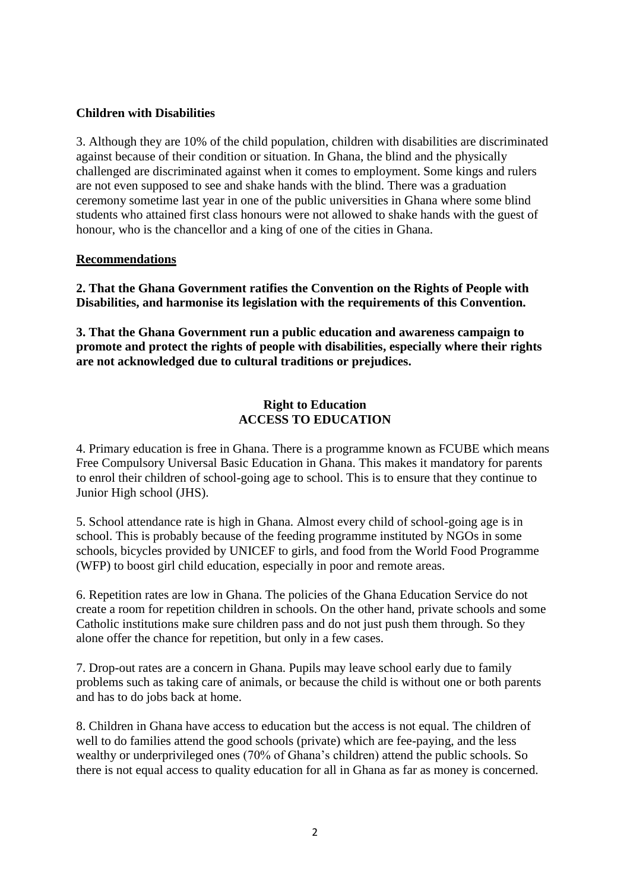### **Children with Disabilities**

3. Although they are 10% of the child population, children with disabilities are discriminated against because of their condition or situation. In Ghana, the blind and the physically challenged are discriminated against when it comes to employment. Some kings and rulers are not even supposed to see and shake hands with the blind. There was a graduation ceremony sometime last year in one of the public universities in Ghana where some blind students who attained first class honours were not allowed to shake hands with the guest of honour, who is the chancellor and a king of one of the cities in Ghana.

### **Recommendations**

**2. That the Ghana Government ratifies the Convention on the Rights of People with Disabilities, and harmonise its legislation with the requirements of this Convention.**

**3. That the Ghana Government run a public education and awareness campaign to promote and protect the rights of people with disabilities, especially where their rights are not acknowledged due to cultural traditions or prejudices.**

### **Right to Education ACCESS TO EDUCATION**

4. Primary education is free in Ghana. There is a programme known as FCUBE which means Free Compulsory Universal Basic Education in Ghana. This makes it mandatory for parents to enrol their children of school-going age to school. This is to ensure that they continue to Junior High school (JHS).

5. School attendance rate is high in Ghana. Almost every child of school-going age is in school. This is probably because of the feeding programme instituted by NGOs in some schools, bicycles provided by UNICEF to girls, and food from the World Food Programme (WFP) to boost girl child education, especially in poor and remote areas.

6. Repetition rates are low in Ghana. The policies of the Ghana Education Service do not create a room for repetition children in schools. On the other hand, private schools and some Catholic institutions make sure children pass and do not just push them through. So they alone offer the chance for repetition, but only in a few cases.

7. Drop-out rates are a concern in Ghana. Pupils may leave school early due to family problems such as taking care of animals, or because the child is without one or both parents and has to do jobs back at home.

8. Children in Ghana have access to education but the access is not equal. The children of well to do families attend the good schools (private) which are fee-paying, and the less wealthy or underprivileged ones (70% of Ghana's children) attend the public schools. So there is not equal access to quality education for all in Ghana as far as money is concerned.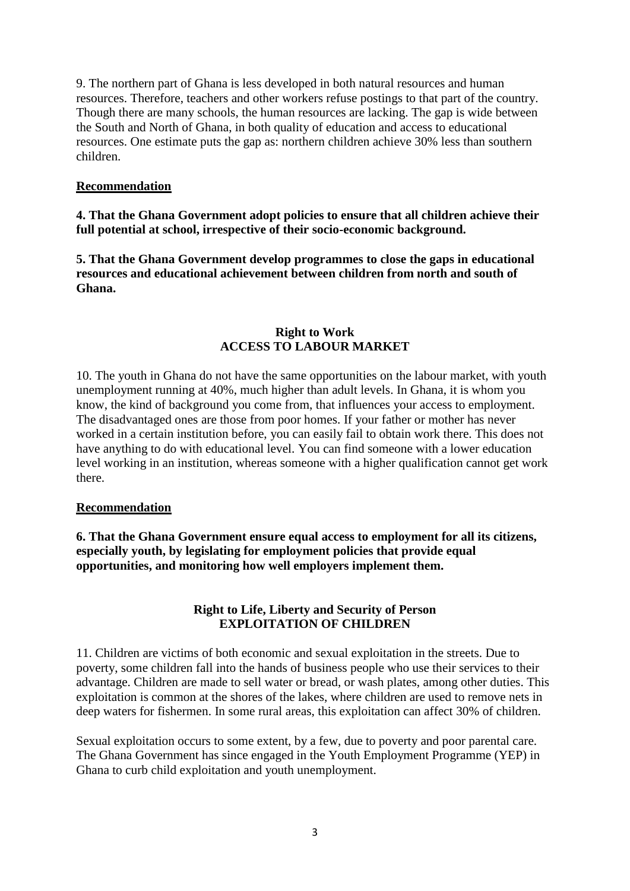9. The northern part of Ghana is less developed in both natural resources and human resources. Therefore, teachers and other workers refuse postings to that part of the country. Though there are many schools, the human resources are lacking. The gap is wide between the South and North of Ghana, in both quality of education and access to educational resources. One estimate puts the gap as: northern children achieve 30% less than southern children.

### **Recommendation**

**4. That the Ghana Government adopt policies to ensure that all children achieve their full potential at school, irrespective of their socio-economic background.**

**5. That the Ghana Government develop programmes to close the gaps in educational resources and educational achievement between children from north and south of Ghana.**

### **Right to Work ACCESS TO LABOUR MARKET**

10. The youth in Ghana do not have the same opportunities on the labour market, with youth unemployment running at 40%, much higher than adult levels. In Ghana, it is whom you know, the kind of background you come from, that influences your access to employment. The disadvantaged ones are those from poor homes. If your father or mother has never worked in a certain institution before, you can easily fail to obtain work there. This does not have anything to do with educational level. You can find someone with a lower education level working in an institution, whereas someone with a higher qualification cannot get work there.

#### **Recommendation**

**6. That the Ghana Government ensure equal access to employment for all its citizens, especially youth, by legislating for employment policies that provide equal opportunities, and monitoring how well employers implement them.**

#### **Right to Life, Liberty and Security of Person EXPLOITATION OF CHILDREN**

11. Children are victims of both economic and sexual exploitation in the streets. Due to poverty, some children fall into the hands of business people who use their services to their advantage. Children are made to sell water or bread, or wash plates, among other duties. This exploitation is common at the shores of the lakes, where children are used to remove nets in deep waters for fishermen. In some rural areas, this exploitation can affect 30% of children.

Sexual exploitation occurs to some extent, by a few, due to poverty and poor parental care. The Ghana Government has since engaged in the Youth Employment Programme (YEP) in Ghana to curb child exploitation and youth unemployment.